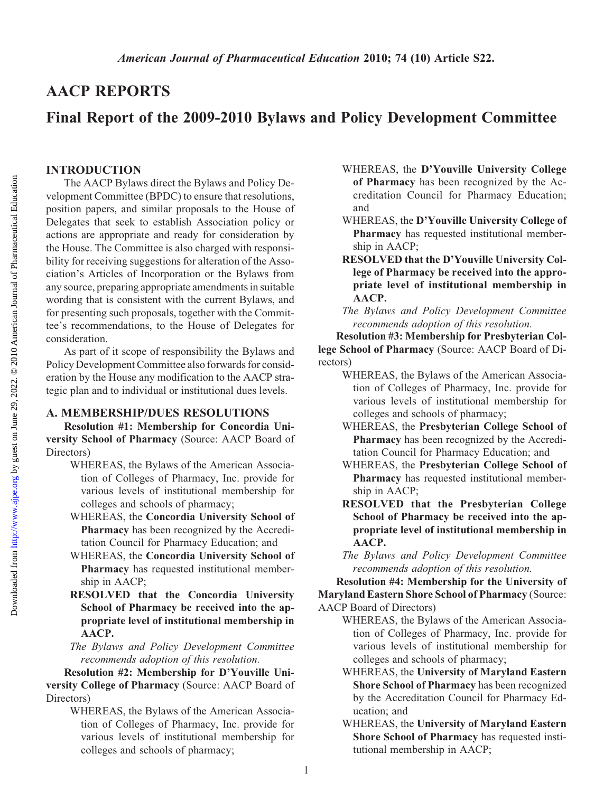<http://www.ajpe.org>

Downloaded from

## AACP REPORTS

# Final Report of the 2009-2010 Bylaws and Policy Development Committee

### INTRODUCTION

The AACP Bylaws direct the Bylaws and Policy Development Committee (BPDC) to ensure that resolutions, position papers, and similar proposals to the House of Delegates that seek to establish Association policy or actions are appropriate and ready for consideration by the House. The Committee is also charged with responsibility for receiving suggestions for alteration of the Association's Articles of Incorporation or the Bylaws from any source, preparing appropriate amendments in suitable wording that is consistent with the current Bylaws, and for presenting such proposals, together with the Committee's recommendations, to the House of Delegates for consideration.

As part of it scope of responsibility the Bylaws and Policy Development Committee also forwards for consideration by the House any modification to the AACP strategic plan and to individual or institutional dues levels.

## A. MEMBERSHIP/DUES RESOLUTIONS

Resolution #1: Membership for Concordia University School of Pharmacy (Source: AACP Board of Directors)

- WHEREAS, the Bylaws of the American Association of Colleges of Pharmacy, Inc. provide for various levels of institutional membership for colleges and schools of pharmacy;
- WHEREAS, the Concordia University School of Pharmacy has been recognized by the Accreditation Council for Pharmacy Education; and
- WHEREAS, the Concordia University School of Pharmacy has requested institutional membership in AACP;
- RESOLVED that the Concordia University School of Pharmacy be received into the appropriate level of institutional membership in AACP.
- The Bylaws and Policy Development Committee recommends adoption of this resolution.

Resolution #2: Membership for D'Youville University College of Pharmacy (Source: AACP Board of Directors)

WHEREAS, the Bylaws of the American Association of Colleges of Pharmacy, Inc. provide for various levels of institutional membership for colleges and schools of pharmacy;

- WHEREAS, the D'Youville University College of Pharmacy has been recognized by the Accreditation Council for Pharmacy Education; and
- WHEREAS, the D'Youville University College of Pharmacy has requested institutional membership in AACP;
- RESOLVED that the D'Youville University College of Pharmacy be received into the appropriate level of institutional membership in AACP.
- The Bylaws and Policy Development Committee recommends adoption of this resolution.

Resolution #3: Membership for Presbyterian College School of Pharmacy (Source: AACP Board of Directors)

- WHEREAS, the Bylaws of the American Association of Colleges of Pharmacy, Inc. provide for various levels of institutional membership for colleges and schools of pharmacy;
- WHEREAS, the Presbyterian College School of Pharmacy has been recognized by the Accreditation Council for Pharmacy Education; and
- WHEREAS, the Presbyterian College School of Pharmacy has requested institutional membership in AACP;
- RESOLVED that the Presbyterian College School of Pharmacy be received into the appropriate level of institutional membership in AACP.
- The Bylaws and Policy Development Committee recommends adoption of this resolution.

Resolution #4: Membership for the University of Maryland Eastern Shore School of Pharmacy (Source: AACP Board of Directors)

- WHEREAS, the Bylaws of the American Association of Colleges of Pharmacy, Inc. provide for various levels of institutional membership for colleges and schools of pharmacy;
- WHEREAS, the University of Maryland Eastern Shore School of Pharmacy has been recognized by the Accreditation Council for Pharmacy Education; and
- WHEREAS, the University of Maryland Eastern Shore School of Pharmacy has requested institutional membership in AACP;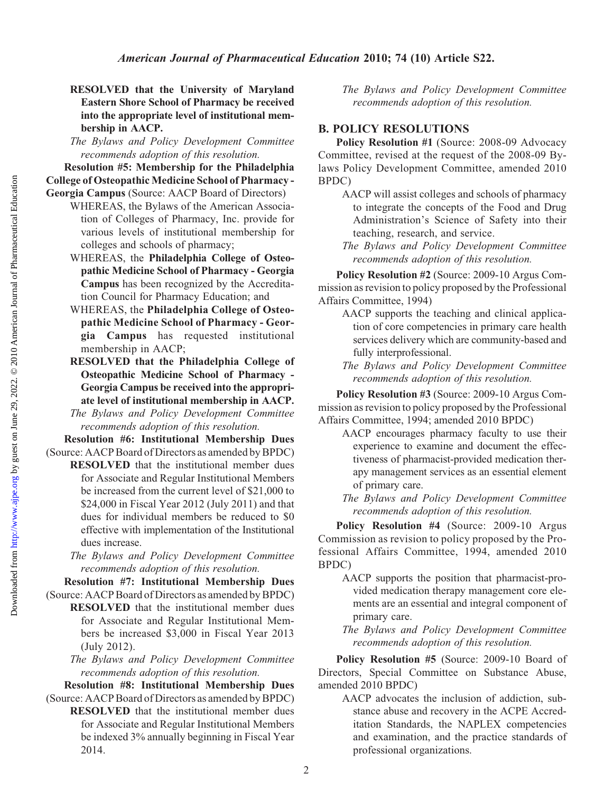American Journal of Pharmaceutical Education 2010; 74 (10) Article S22.

- RESOLVED that the University of Maryland Eastern Shore School of Pharmacy be received into the appropriate level of institutional membership in AACP.
- The Bylaws and Policy Development Committee recommends adoption of this resolution.

Resolution #5: Membership for the Philadelphia College of Osteopathic Medicine School of Pharmacy - Georgia Campus (Source: AACP Board of Directors)

- WHEREAS, the Bylaws of the American Association of Colleges of Pharmacy, Inc. provide for various levels of institutional membership for colleges and schools of pharmacy;
- WHEREAS, the Philadelphia College of Osteopathic Medicine School of Pharmacy - Georgia Campus has been recognized by the Accreditation Council for Pharmacy Education; and
- WHEREAS, the Philadelphia College of Osteopathic Medicine School of Pharmacy - Georgia Campus has requested institutional membership in AACP;
- RESOLVED that the Philadelphia College of Osteopathic Medicine School of Pharmacy - Georgia Campus be received into the appropriate level of institutional membership in AACP.
- The Bylaws and Policy Development Committee recommends adoption of this resolution.

Resolution #6: Institutional Membership Dues (Source: AACP Board of Directors as amended by BPDC)

- RESOLVED that the institutional member dues for Associate and Regular Institutional Members be increased from the current level of \$21,000 to \$24,000 in Fiscal Year 2012 (July 2011) and that dues for individual members be reduced to \$0 effective with implementation of the Institutional dues increase.
	- The Bylaws and Policy Development Committee recommends adoption of this resolution.

Resolution #7: Institutional Membership Dues (Source: AACP Board of Directors as amended by BPDC)

- RESOLVED that the institutional member dues for Associate and Regular Institutional Members be increased \$3,000 in Fiscal Year 2013 (July 2012).
	- The Bylaws and Policy Development Committee recommends adoption of this resolution.

Resolution #8: Institutional Membership Dues (Source: AACP Board of Directors as amended by BPDC)

RESOLVED that the institutional member dues for Associate and Regular Institutional Members be indexed 3% annually beginning in Fiscal Year 2014.

The Bylaws and Policy Development Committee recommends adoption of this resolution.

### B. POLICY RESOLUTIONS

Policy Resolution #1 (Source: 2008-09 Advocacy Committee, revised at the request of the 2008-09 Bylaws Policy Development Committee, amended 2010 BPDC)

AACP will assist colleges and schools of pharmacy to integrate the concepts of the Food and Drug Administration's Science of Safety into their teaching, research, and service.

The Bylaws and Policy Development Committee recommends adoption of this resolution.

Policy Resolution #2 (Source: 2009-10 Argus Commission as revision to policy proposed by the Professional Affairs Committee, 1994)

- AACP supports the teaching and clinical application of core competencies in primary care health services delivery which are community-based and fully interprofessional.
- The Bylaws and Policy Development Committee recommends adoption of this resolution.

Policy Resolution #3 (Source: 2009-10 Argus Commission as revision to policy proposed by the Professional Affairs Committee, 1994; amended 2010 BPDC)

- AACP encourages pharmacy faculty to use their experience to examine and document the effectiveness of pharmacist-provided medication therapy management services as an essential element of primary care.
- The Bylaws and Policy Development Committee recommends adoption of this resolution.

Policy Resolution #4 (Source: 2009-10 Argus Commission as revision to policy proposed by the Professional Affairs Committee, 1994, amended 2010 BPDC)

AACP supports the position that pharmacist-provided medication therapy management core elements are an essential and integral component of primary care.

The Bylaws and Policy Development Committee recommends adoption of this resolution.

Policy Resolution #5 (Source: 2009-10 Board of Directors, Special Committee on Substance Abuse, amended 2010 BPDC)

AACP advocates the inclusion of addiction, substance abuse and recovery in the ACPE Accreditation Standards, the NAPLEX competencies and examination, and the practice standards of professional organizations.